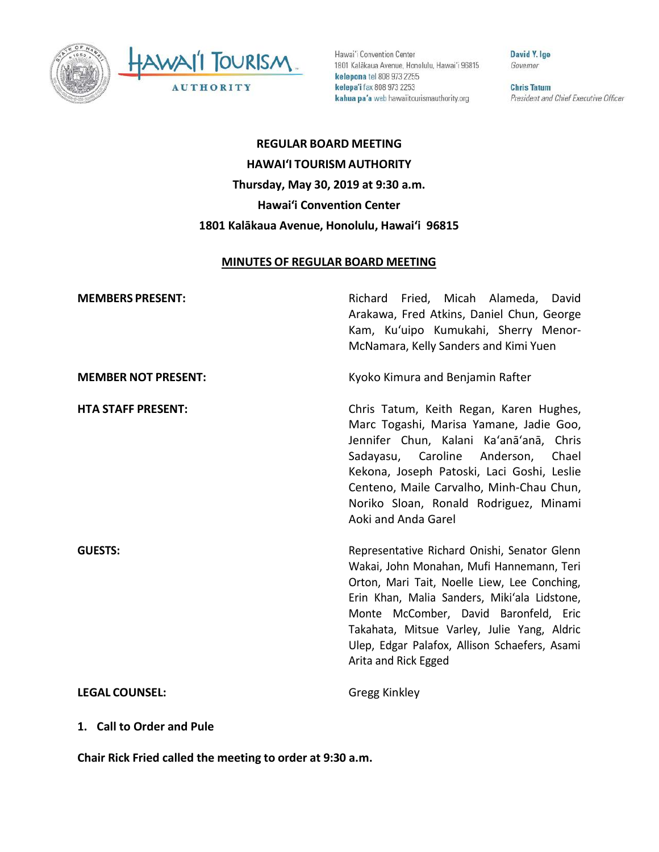



Hawai'i Convention Center 1801 Kalākaua Avenue, Honolulu, Hawai'i 96815 kelepona tel 808 973 2255 kelepa'i fax 808 973 2253 kahua pa'a web hawaiitourismauthority.org

David Y. Ige Governor

**Chris Tatum** President and Chief Executive Officer

**REGULAR BOARD MEETING HAWAI'I TOURISM AUTHORITY Thursday, May 30, 2019 at 9:30 a.m. Hawai'i Convention Center 1801 Kalākaua Avenue, Honolulu, Hawai'i 96815**

#### **MINUTES OF REGULAR BOARD MEETING**

| <b>MEMBERS PRESENT:</b>    | Richard Fried, Micah Alameda, David<br>Arakawa, Fred Atkins, Daniel Chun, George<br>Kam, Ku'uipo Kumukahi, Sherry Menor-<br>McNamara, Kelly Sanders and Kimi Yuen                                                                                                                                                                                          |
|----------------------------|------------------------------------------------------------------------------------------------------------------------------------------------------------------------------------------------------------------------------------------------------------------------------------------------------------------------------------------------------------|
| <b>MEMBER NOT PRESENT:</b> | Kyoko Kimura and Benjamin Rafter                                                                                                                                                                                                                                                                                                                           |
| <b>HTA STAFF PRESENT:</b>  | Chris Tatum, Keith Regan, Karen Hughes,<br>Marc Togashi, Marisa Yamane, Jadie Goo,<br>Jennifer Chun, Kalani Ka'anā'anā, Chris<br>Sadayasu, Caroline Anderson,<br>Chael<br>Kekona, Joseph Patoski, Laci Goshi, Leslie<br>Centeno, Maile Carvalho, Minh-Chau Chun,<br>Noriko Sloan, Ronald Rodriguez, Minami<br>Aoki and Anda Garel                          |
| <b>GUESTS:</b>             | Representative Richard Onishi, Senator Glenn<br>Wakai, John Monahan, Mufi Hannemann, Teri<br>Orton, Mari Tait, Noelle Liew, Lee Conching,<br>Erin Khan, Malia Sanders, Miki'ala Lidstone,<br>Monte McComber, David Baronfeld, Eric<br>Takahata, Mitsue Varley, Julie Yang, Aldric<br>Ulep, Edgar Palafox, Allison Schaefers, Asami<br>Arita and Rick Egged |
| <b>LEGAL COUNSEL:</b>      | Gregg Kinkley                                                                                                                                                                                                                                                                                                                                              |

**1. Call to Order and Pule**

**Chair Rick Fried called the meeting to order at 9:30 a.m.**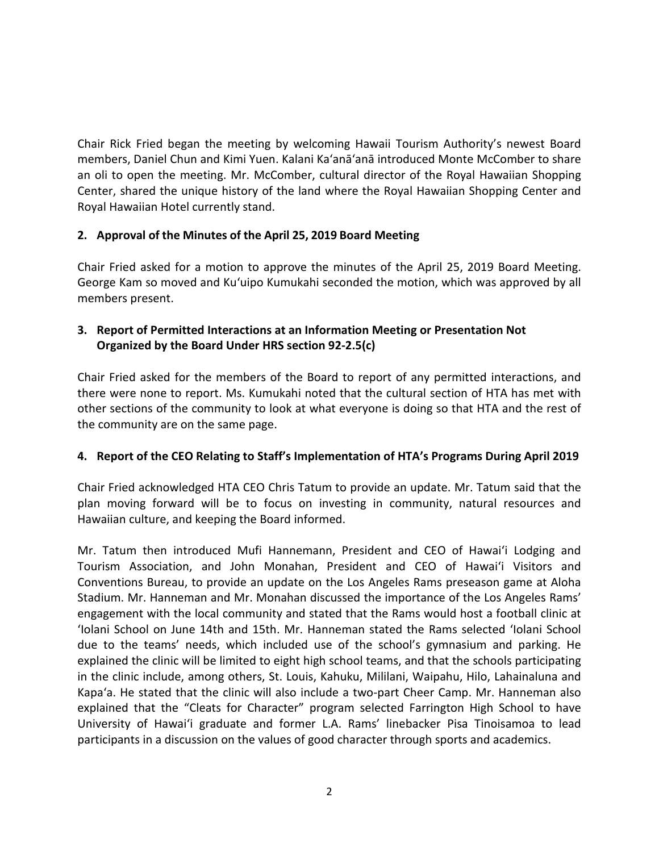Chair Rick Fried began the meeting by welcoming Hawaii Tourism Authority's newest Board members, Daniel Chun and Kimi Yuen. Kalani Ka'anā'anā introduced Monte McComber to share an oli to open the meeting. Mr. McComber, cultural director of the Royal Hawaiian Shopping Center, shared the unique history of the land where the Royal Hawaiian Shopping Center and Royal Hawaiian Hotel currently stand.

## **2. Approval of the Minutes of the April 25, 2019 Board Meeting**

Chair Fried asked for a motion to approve the minutes of the April 25, 2019 Board Meeting. George Kam so moved and Ku'uipo Kumukahi seconded the motion, which was approved by all members present.

# **3. Report of Permitted Interactions at an Information Meeting or Presentation Not Organized by the Board Under HRS section 92-2.5(c)**

Chair Fried asked for the members of the Board to report of any permitted interactions, and there were none to report. Ms. Kumukahi noted that the cultural section of HTA has met with other sections of the community to look at what everyone is doing so that HTA and the rest of the community are on the same page.

## **4. Report of the CEO Relating to Staff's Implementation of HTA's Programs During April 2019**

Chair Fried acknowledged HTA CEO Chris Tatum to provide an update. Mr. Tatum said that the plan moving forward will be to focus on investing in community, natural resources and Hawaiian culture, and keeping the Board informed.

Mr. Tatum then introduced Mufi Hannemann, President and CEO of Hawai'i Lodging and Tourism Association, and John Monahan, President and CEO of Hawai'i Visitors and Conventions Bureau, to provide an update on the Los Angeles Rams preseason game at Aloha Stadium. Mr. Hanneman and Mr. Monahan discussed the importance of the Los Angeles Rams' engagement with the local community and stated that the Rams would host a football clinic at 'Iolani School on June 14th and 15th. Mr. Hanneman stated the Rams selected 'Iolani School due to the teams' needs, which included use of the school's gymnasium and parking. He explained the clinic will be limited to eight high school teams, and that the schools participating in the clinic include, among others, St. Louis, Kahuku, Mililani, Waipahu, Hilo, Lahainaluna and Kapa'a. He stated that the clinic will also include a two-part Cheer Camp. Mr. Hanneman also explained that the "Cleats for Character" program selected Farrington High School to have University of Hawai'i graduate and former L.A. Rams' linebacker Pisa Tinoisamoa to lead participants in a discussion on the values of good character through sports and academics.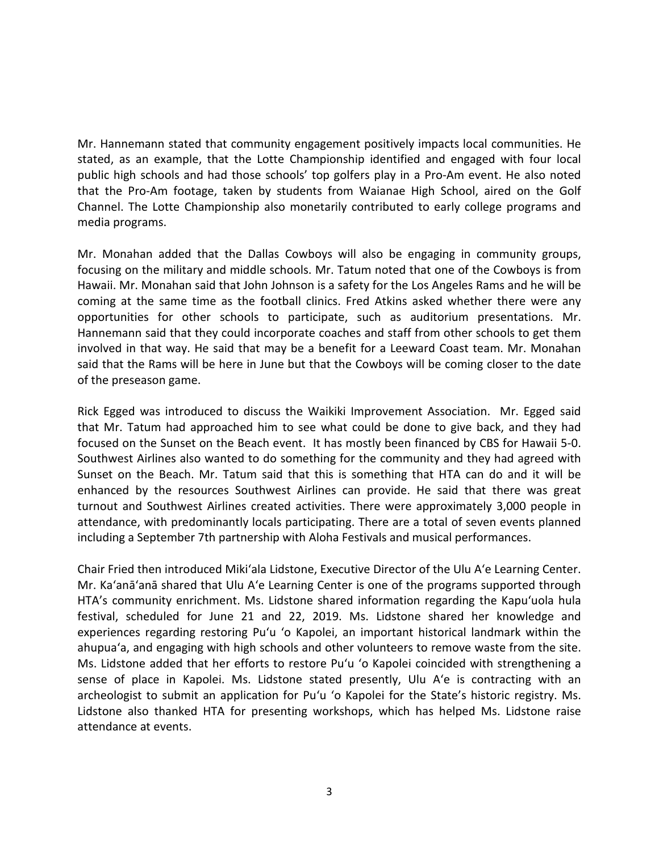Mr. Hannemann stated that community engagement positively impacts local communities. He stated, as an example, that the Lotte Championship identified and engaged with four local public high schools and had those schools' top golfers play in a Pro-Am event. He also noted that the Pro-Am footage, taken by students from Waianae High School, aired on the Golf Channel. The Lotte Championship also monetarily contributed to early college programs and media programs.

Mr. Monahan added that the Dallas Cowboys will also be engaging in community groups, focusing on the military and middle schools. Mr. Tatum noted that one of the Cowboys is from Hawaii. Mr. Monahan said that John Johnson is a safety for the Los Angeles Rams and he will be coming at the same time as the football clinics. Fred Atkins asked whether there were any opportunities for other schools to participate, such as auditorium presentations. Mr. Hannemann said that they could incorporate coaches and staff from other schools to get them involved in that way. He said that may be a benefit for a Leeward Coast team. Mr. Monahan said that the Rams will be here in June but that the Cowboys will be coming closer to the date of the preseason game.

Rick Egged was introduced to discuss the Waikiki Improvement Association. Mr. Egged said that Mr. Tatum had approached him to see what could be done to give back, and they had focused on the Sunset on the Beach event. It has mostly been financed by CBS for Hawaii 5-0. Southwest Airlines also wanted to do something for the community and they had agreed with Sunset on the Beach. Mr. Tatum said that this is something that HTA can do and it will be enhanced by the resources Southwest Airlines can provide. He said that there was great turnout and Southwest Airlines created activities. There were approximately 3,000 people in attendance, with predominantly locals participating. There are a total of seven events planned including a September 7th partnership with Aloha Festivals and musical performances.

Chair Fried then introduced Miki'ala Lidstone, Executive Director of the Ulu A'e Learning Center. Mr. Ka'anā'anā shared that Ulu A'e Learning Center is one of the programs supported through HTA's community enrichment. Ms. Lidstone shared information regarding the Kapu'uola hula festival, scheduled for June 21 and 22, 2019. Ms. Lidstone shared her knowledge and experiences regarding restoring Pu'u 'o Kapolei, an important historical landmark within the ahupua'a, and engaging with high schools and other volunteers to remove waste from the site. Ms. Lidstone added that her efforts to restore Pu'u 'o Kapolei coincided with strengthening a sense of place in Kapolei. Ms. Lidstone stated presently, Ulu A'e is contracting with an archeologist to submit an application for Pu'u 'o Kapolei for the State's historic registry. Ms. Lidstone also thanked HTA for presenting workshops, which has helped Ms. Lidstone raise attendance at events.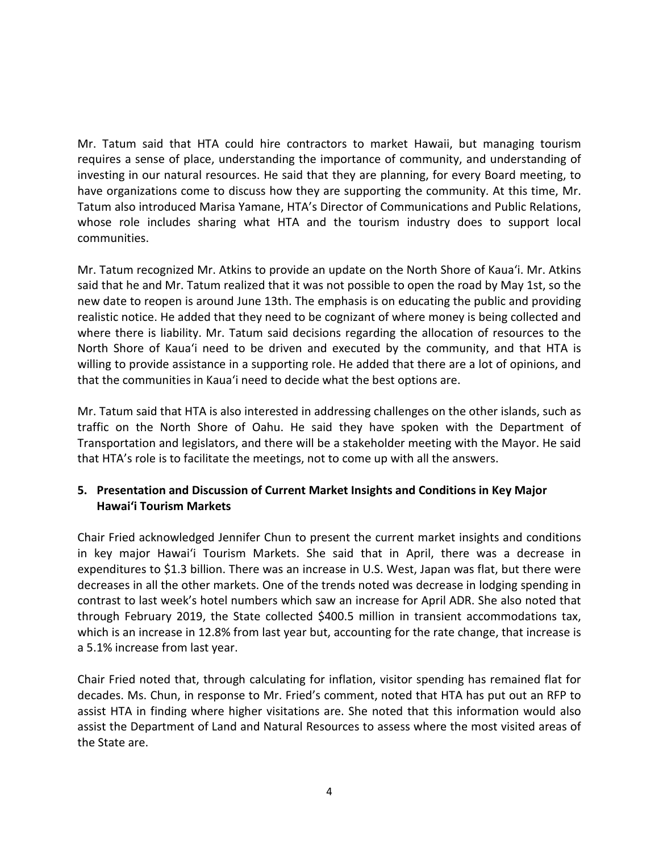Mr. Tatum said that HTA could hire contractors to market Hawaii, but managing tourism requires a sense of place, understanding the importance of community, and understanding of investing in our natural resources. He said that they are planning, for every Board meeting, to have organizations come to discuss how they are supporting the community. At this time, Mr. Tatum also introduced Marisa Yamane, HTA's Director of Communications and Public Relations, whose role includes sharing what HTA and the tourism industry does to support local communities.

Mr. Tatum recognized Mr. Atkins to provide an update on the North Shore of Kaua'i. Mr. Atkins said that he and Mr. Tatum realized that it was not possible to open the road by May 1st, so the new date to reopen is around June 13th. The emphasis is on educating the public and providing realistic notice. He added that they need to be cognizant of where money is being collected and where there is liability. Mr. Tatum said decisions regarding the allocation of resources to the North Shore of Kaua'i need to be driven and executed by the community, and that HTA is willing to provide assistance in a supporting role. He added that there are a lot of opinions, and that the communities in Kaua'i need to decide what the best options are.

Mr. Tatum said that HTA is also interested in addressing challenges on the other islands, such as traffic on the North Shore of Oahu. He said they have spoken with the Department of Transportation and legislators, and there will be a stakeholder meeting with the Mayor. He said that HTA's role is to facilitate the meetings, not to come up with all the answers.

# **5. Presentation and Discussion of Current Market Insights and Conditions in Key Major Hawai'i Tourism Markets**

Chair Fried acknowledged Jennifer Chun to present the current market insights and conditions in key major Hawai'i Tourism Markets. She said that in April, there was a decrease in expenditures to \$1.3 billion. There was an increase in U.S. West, Japan was flat, but there were decreases in all the other markets. One of the trends noted was decrease in lodging spending in contrast to last week's hotel numbers which saw an increase for April ADR. She also noted that through February 2019, the State collected \$400.5 million in transient accommodations tax, which is an increase in 12.8% from last year but, accounting for the rate change, that increase is a 5.1% increase from last year.

Chair Fried noted that, through calculating for inflation, visitor spending has remained flat for decades. Ms. Chun, in response to Mr. Fried's comment, noted that HTA has put out an RFP to assist HTA in finding where higher visitations are. She noted that this information would also assist the Department of Land and Natural Resources to assess where the most visited areas of the State are.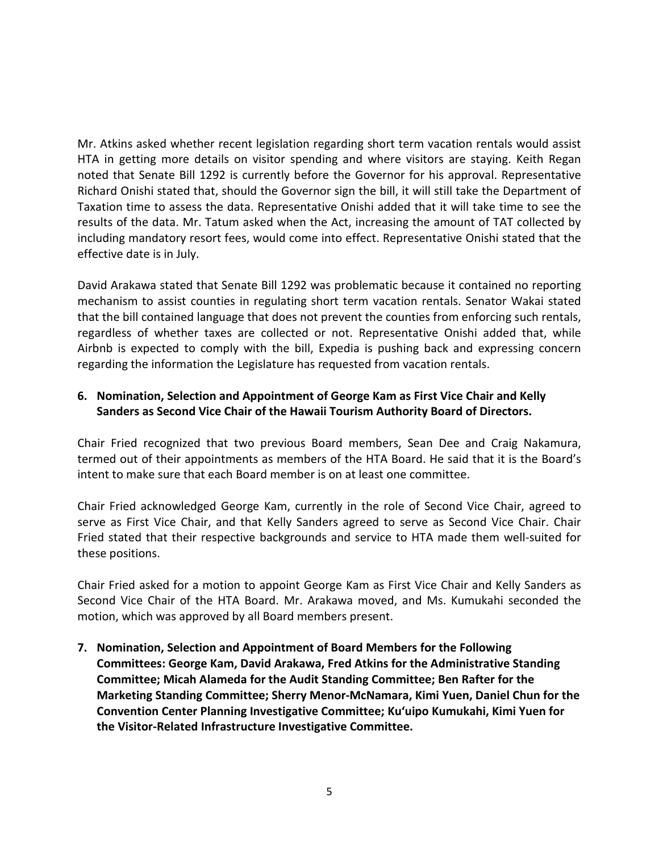Mr. Atkins asked whether recent legislation regarding short term vacation rentals would assist HTA in getting more details on visitor spending and where visitors are staying. Keith Regan noted that Senate Bill 1292 is currently before the Governor for his approval. Representative Richard Onishi stated that, should the Governor sign the bill, it will still take the Department of Taxation time to assess the data. Representative Onishi added that it will take time to see the results of the data. Mr. Tatum asked when the Act, increasing the amount of TAT collected by including mandatory resort fees, would come into effect. Representative Onishi stated that the effective date is in July.

David Arakawa stated that Senate Bill 1292 was problematic because it contained no reporting mechanism to assist counties in regulating short term vacation rentals. Senator Wakai stated that the bill contained language that does not prevent the counties from enforcing such rentals, regardless of whether taxes are collected or not. Representative Onishi added that, while Airbnb is expected to comply with the bill, Expedia is pushing back and expressing concern regarding the information the Legislature has requested from vacation rentals.

## **6. Nomination, Selection and Appointment of George Kam as First Vice Chair and Kelly Sanders as Second Vice Chair of the Hawaii Tourism Authority Board of Directors.**

Chair Fried recognized that two previous Board members, Sean Dee and Craig Nakamura, termed out of their appointments as members of the HTA Board. He said that it is the Board's intent to make sure that each Board member is on at least one committee.

Chair Fried acknowledged George Kam, currently in the role of Second Vice Chair, agreed to serve as First Vice Chair, and that Kelly Sanders agreed to serve as Second Vice Chair. Chair Fried stated that their respective backgrounds and service to HTA made them well-suited for these positions.

Chair Fried asked for a motion to appoint George Kam as First Vice Chair and Kelly Sanders as Second Vice Chair of the HTA Board. Mr. Arakawa moved, and Ms. Kumukahi seconded the motion, which was approved by all Board members present.

**7. Nomination, Selection and Appointment of Board Members for the Following Committees: George Kam, David Arakawa, Fred Atkins for the Administrative Standing Committee; Micah Alameda for the Audit Standing Committee; Ben Rafter for the Marketing Standing Committee; Sherry Menor-McNamara, Kimi Yuen, Daniel Chun for the Convention Center Planning Investigative Committee; Ku'uipo Kumukahi, Kimi Yuen for the Visitor-Related Infrastructure Investigative Committee.**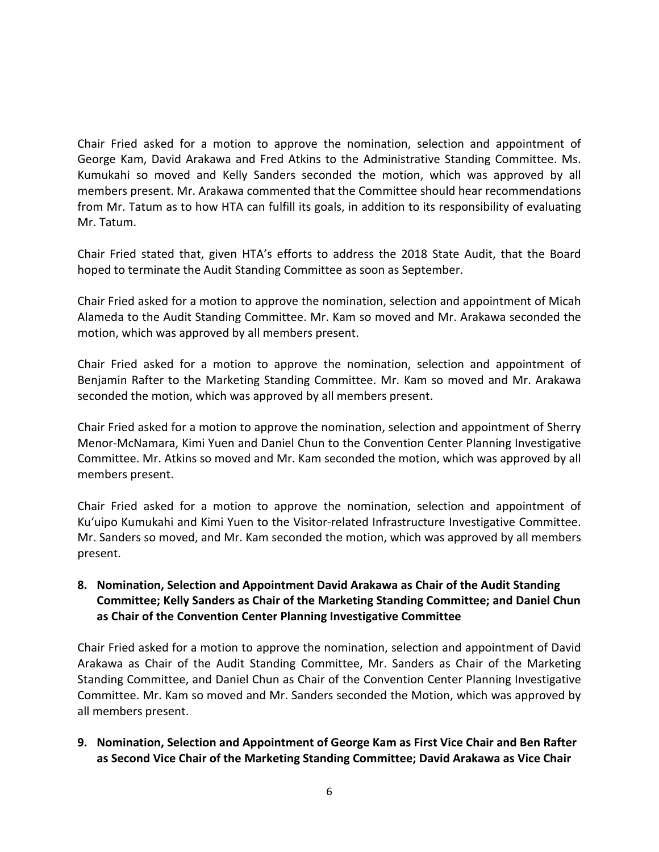Chair Fried asked for a motion to approve the nomination, selection and appointment of George Kam, David Arakawa and Fred Atkins to the Administrative Standing Committee. Ms. Kumukahi so moved and Kelly Sanders seconded the motion, which was approved by all members present. Mr. Arakawa commented that the Committee should hear recommendations from Mr. Tatum as to how HTA can fulfill its goals, in addition to its responsibility of evaluating Mr. Tatum.

Chair Fried stated that, given HTA's efforts to address the 2018 State Audit, that the Board hoped to terminate the Audit Standing Committee as soon as September.

Chair Fried asked for a motion to approve the nomination, selection and appointment of Micah Alameda to the Audit Standing Committee. Mr. Kam so moved and Mr. Arakawa seconded the motion, which was approved by all members present.

Chair Fried asked for a motion to approve the nomination, selection and appointment of Benjamin Rafter to the Marketing Standing Committee. Mr. Kam so moved and Mr. Arakawa seconded the motion, which was approved by all members present.

Chair Fried asked for a motion to approve the nomination, selection and appointment of Sherry Menor-McNamara, Kimi Yuen and Daniel Chun to the Convention Center Planning Investigative Committee. Mr. Atkins so moved and Mr. Kam seconded the motion, which was approved by all members present.

Chair Fried asked for a motion to approve the nomination, selection and appointment of Ku'uipo Kumukahi and Kimi Yuen to the Visitor-related Infrastructure Investigative Committee. Mr. Sanders so moved, and Mr. Kam seconded the motion, which was approved by all members present.

## **8. Nomination, Selection and Appointment David Arakawa as Chair of the Audit Standing Committee; Kelly Sanders as Chair of the Marketing Standing Committee; and Daniel Chun as Chair of the Convention Center Planning Investigative Committee**

Chair Fried asked for a motion to approve the nomination, selection and appointment of David Arakawa as Chair of the Audit Standing Committee, Mr. Sanders as Chair of the Marketing Standing Committee, and Daniel Chun as Chair of the Convention Center Planning Investigative Committee. Mr. Kam so moved and Mr. Sanders seconded the Motion, which was approved by all members present.

## **9. Nomination, Selection and Appointment of George Kam as First Vice Chair and Ben Rafter as Second Vice Chair of the Marketing Standing Committee; David Arakawa as Vice Chair**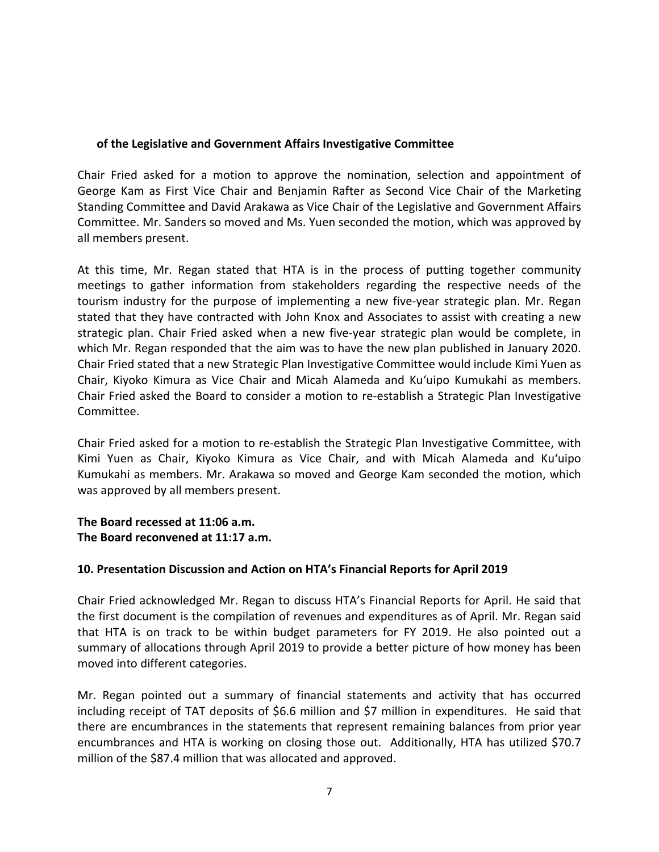#### **of the Legislative and Government Affairs Investigative Committee**

Chair Fried asked for a motion to approve the nomination, selection and appointment of George Kam as First Vice Chair and Benjamin Rafter as Second Vice Chair of the Marketing Standing Committee and David Arakawa as Vice Chair of the Legislative and Government Affairs Committee. Mr. Sanders so moved and Ms. Yuen seconded the motion, which was approved by all members present.

At this time, Mr. Regan stated that HTA is in the process of putting together community meetings to gather information from stakeholders regarding the respective needs of the tourism industry for the purpose of implementing a new five-year strategic plan. Mr. Regan stated that they have contracted with John Knox and Associates to assist with creating a new strategic plan. Chair Fried asked when a new five-year strategic plan would be complete, in which Mr. Regan responded that the aim was to have the new plan published in January 2020. Chair Fried stated that a new Strategic Plan Investigative Committee would include Kimi Yuen as Chair, Kiyoko Kimura as Vice Chair and Micah Alameda and Ku'uipo Kumukahi as members. Chair Fried asked the Board to consider a motion to re-establish a Strategic Plan Investigative Committee.

Chair Fried asked for a motion to re-establish the Strategic Plan Investigative Committee, with Kimi Yuen as Chair, Kiyoko Kimura as Vice Chair, and with Micah Alameda and Ku'uipo Kumukahi as members. Mr. Arakawa so moved and George Kam seconded the motion, which was approved by all members present.

**The Board recessed at 11:06 a.m. The Board reconvened at 11:17 a.m.**

## **10. Presentation Discussion and Action on HTA's Financial Reports for April 2019**

Chair Fried acknowledged Mr. Regan to discuss HTA's Financial Reports for April. He said that the first document is the compilation of revenues and expenditures as of April. Mr. Regan said that HTA is on track to be within budget parameters for FY 2019. He also pointed out a summary of allocations through April 2019 to provide a better picture of how money has been moved into different categories.

Mr. Regan pointed out a summary of financial statements and activity that has occurred including receipt of TAT deposits of \$6.6 million and \$7 million in expenditures. He said that there are encumbrances in the statements that represent remaining balances from prior year encumbrances and HTA is working on closing those out. Additionally, HTA has utilized \$70.7 million of the \$87.4 million that was allocated and approved.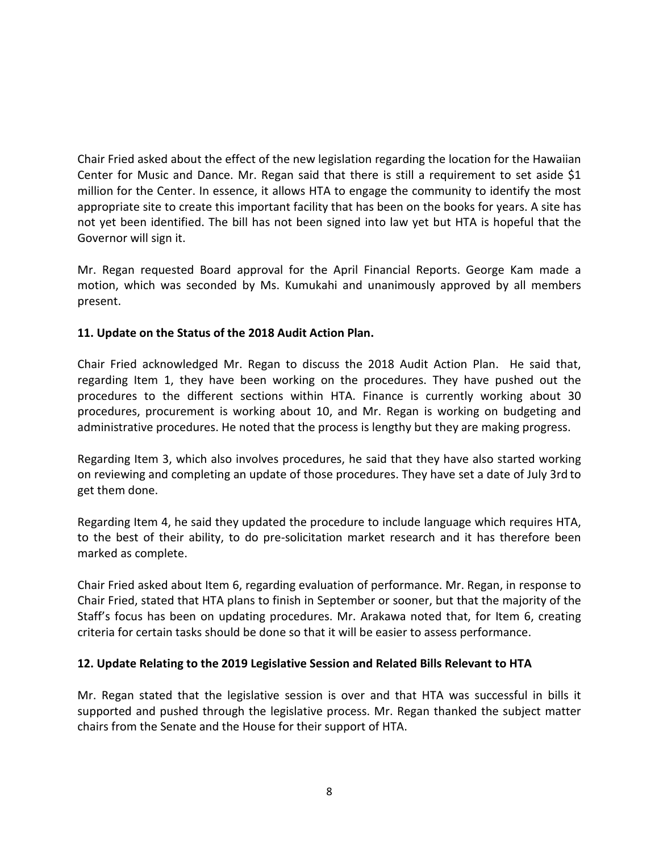Chair Fried asked about the effect of the new legislation regarding the location for the Hawaiian Center for Music and Dance. Mr. Regan said that there is still a requirement to set aside \$1 million for the Center. In essence, it allows HTA to engage the community to identify the most appropriate site to create this important facility that has been on the books for years. A site has not yet been identified. The bill has not been signed into law yet but HTA is hopeful that the Governor will sign it.

Mr. Regan requested Board approval for the April Financial Reports. George Kam made a motion, which was seconded by Ms. Kumukahi and unanimously approved by all members present.

## **11. Update on the Status of the 2018 Audit Action Plan.**

Chair Fried acknowledged Mr. Regan to discuss the 2018 Audit Action Plan. He said that, regarding Item 1, they have been working on the procedures. They have pushed out the procedures to the different sections within HTA. Finance is currently working about 30 procedures, procurement is working about 10, and Mr. Regan is working on budgeting and administrative procedures. He noted that the process is lengthy but they are making progress.

Regarding Item 3, which also involves procedures, he said that they have also started working on reviewing and completing an update of those procedures. They have set a date of July 3rd to get them done.

Regarding Item 4, he said they updated the procedure to include language which requires HTA, to the best of their ability, to do pre-solicitation market research and it has therefore been marked as complete.

Chair Fried asked about Item 6, regarding evaluation of performance. Mr. Regan, in response to Chair Fried, stated that HTA plans to finish in September or sooner, but that the majority of the Staff's focus has been on updating procedures. Mr. Arakawa noted that, for Item 6, creating criteria for certain tasks should be done so that it will be easier to assess performance.

## **12. Update Relating to the 2019 Legislative Session and Related Bills Relevant to HTA**

Mr. Regan stated that the legislative session is over and that HTA was successful in bills it supported and pushed through the legislative process. Mr. Regan thanked the subject matter chairs from the Senate and the House for their support of HTA.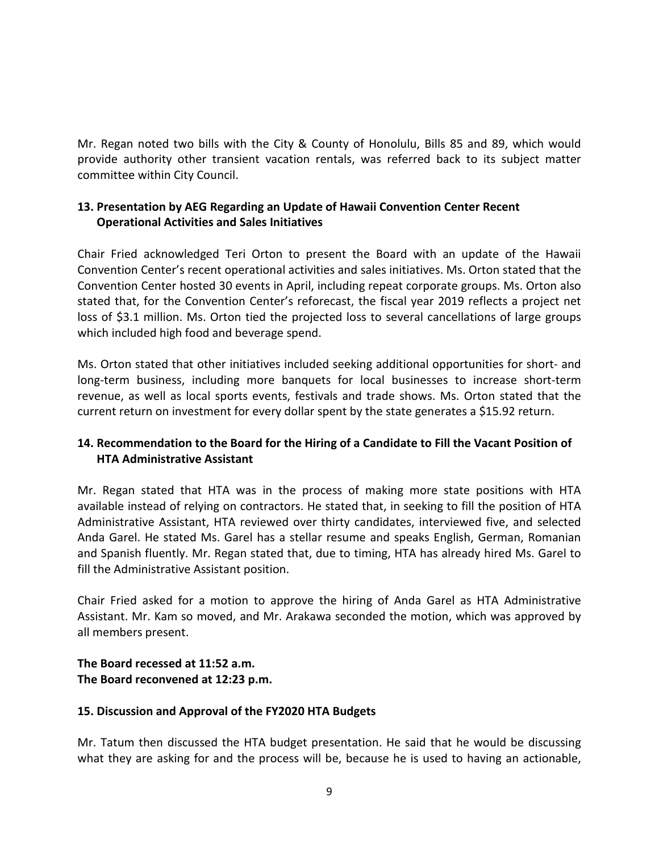Mr. Regan noted two bills with the City & County of Honolulu, Bills 85 and 89, which would provide authority other transient vacation rentals, was referred back to its subject matter committee within City Council.

## **13. Presentation by AEG Regarding an Update of Hawaii Convention Center Recent Operational Activities and Sales Initiatives**

Chair Fried acknowledged Teri Orton to present the Board with an update of the Hawaii Convention Center's recent operational activities and sales initiatives. Ms. Orton stated that the Convention Center hosted 30 events in April, including repeat corporate groups. Ms. Orton also stated that, for the Convention Center's reforecast, the fiscal year 2019 reflects a project net loss of \$3.1 million. Ms. Orton tied the projected loss to several cancellations of large groups which included high food and beverage spend.

Ms. Orton stated that other initiatives included seeking additional opportunities for short- and long-term business, including more banquets for local businesses to increase short-term revenue, as well as local sports events, festivals and trade shows. Ms. Orton stated that the current return on investment for every dollar spent by the state generates a \$15.92 return.

# **14. Recommendation to the Board for the Hiring of a Candidate to Fill the Vacant Position of HTA Administrative Assistant**

Mr. Regan stated that HTA was in the process of making more state positions with HTA available instead of relying on contractors. He stated that, in seeking to fill the position of HTA Administrative Assistant, HTA reviewed over thirty candidates, interviewed five, and selected Anda Garel. He stated Ms. Garel has a stellar resume and speaks English, German, Romanian and Spanish fluently. Mr. Regan stated that, due to timing, HTA has already hired Ms. Garel to fill the Administrative Assistant position.

Chair Fried asked for a motion to approve the hiring of Anda Garel as HTA Administrative Assistant. Mr. Kam so moved, and Mr. Arakawa seconded the motion, which was approved by all members present.

#### **The Board recessed at 11:52 a.m. The Board reconvened at 12:23 p.m.**

## **15. Discussion and Approval of the FY2020 HTA Budgets**

Mr. Tatum then discussed the HTA budget presentation. He said that he would be discussing what they are asking for and the process will be, because he is used to having an actionable,